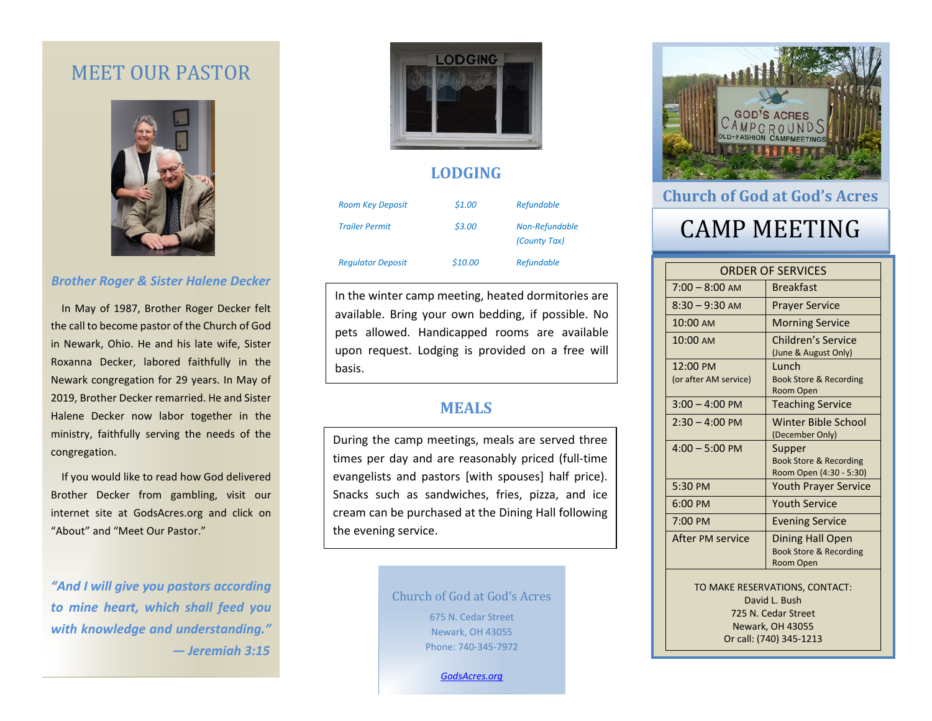## MEET OUR PASTOR



### *Brother Roger & Sister Halene Decker*

 In May of 1987, Brother Roger Decker felt the call to become pastor of the Church of God in Newark, Ohio. He and his late wife, Sister Roxanna Decker, labored faithfully in the Newark congregation for 29 years. In May of 2019, Brother Decker remarried. He and Sister Halene Decker now labor together in the ministry, faithfully serving the needs of the congregation.

 If you would like to read how God delivered Brother Decker from gambling, visit our internet site at GodsAcres.org and click on "About" and "Meet Our Pastor."

*"And I will give you pastors according to mine heart, which shall feed you with knowledge and understanding." — Jeremiah 3:15*



### **LODGING**

| <b>Room Key Deposit</b>  | \$1.00  | <b>Refundable</b>              |
|--------------------------|---------|--------------------------------|
| <b>Trailer Permit</b>    | \$3.00  | Non-Refundable<br>(County Tax) |
| <b>Regulator Deposit</b> | \$10.00 | <b>Refundable</b>              |

In the winter camp meeting, heated dormitories are available. Bring your own bedding, if possible. No pets allowed. Handicapped rooms are available upon request. Lodging is provided on a free will basis.

### **MEALS**

During the camp meetings, meals are served three times per day and are reasonably priced (full-time evangelists and pastors [with spouses] half price). Snacks such as sandwiches, fries, pizza, and ice cream can be purchased at the Dining Hall following the evening service.

> Church of God at God's Acres 675 N. Cedar Street Newark, OH 43055 Phone: 740-345-7972

> > *[GodsAcres.org](http://www.godsacres.ogodsacres.orgrg/)*



## **Church of God at God's Acres**

# CAMP MEETING

| <b>ORDER OF SERVICES</b>                                               |                                                                        |  |
|------------------------------------------------------------------------|------------------------------------------------------------------------|--|
| $7:00 - 8:00$ AM                                                       | <b>Breakfast</b>                                                       |  |
| $8:30 - 9:30$ AM                                                       | <b>Prayer Service</b>                                                  |  |
| 10:00 AM                                                               | <b>Morning Service</b>                                                 |  |
| 10:00 AM                                                               | <b>Children's Service</b><br>(June & August Only)                      |  |
| 12:00 PM<br>(or after AM service)                                      | Lunch<br><b>Book Store &amp; Recording</b><br>Room Open                |  |
| $3:00 - 4:00$ PM                                                       | <b>Teaching Service</b>                                                |  |
| $2:30 - 4:00 \text{ PM}$                                               | Winter Bible School<br>(December Only)                                 |  |
| $4:00 - 5:00$ PM                                                       | Supper<br><b>Book Store &amp; Recording</b><br>Room Open (4:30 - 5:30) |  |
| 5:30 PM                                                                | <b>Youth Prayer Service</b>                                            |  |
| 6:00 PM                                                                | <b>Youth Service</b>                                                   |  |
| $7:00 \text{ PM}$                                                      | <b>Evening Service</b>                                                 |  |
| After PM service                                                       | Dining Hall Open<br><b>Book Store &amp; Recording</b><br>Room Open     |  |
| TO MAKE RESERVATIONS, CONTACT:<br>David L. Bush<br>725 N. Cedar Street |                                                                        |  |
| <b>Newark, OH 43055</b><br>Or call: (740) 345-1213                     |                                                                        |  |
|                                                                        |                                                                        |  |